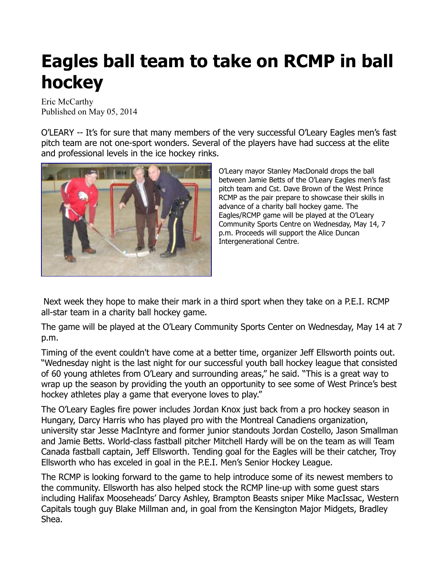## **Eagles ball team to take on RCMP in ball hockey**

Eric McCarthy Published on May 05, 2014

O'LEARY -- It's for sure that many members of the very successful O'Leary Eagles men's fast pitch team are not one-sport wonders. Several of the players have had success at the elite and professional levels in the ice hockey rinks.



O'Leary mayor Stanley MacDonald drops the ball between Jamie Betts of the O'Leary Eagles men's fast pitch team and Cst. Dave Brown of the West Prince RCMP as the pair prepare to showcase their skills in advance of a charity ball hockey game. The Eagles/RCMP game will be played at the O'Leary Community Sports Centre on Wednesday, May 14, 7 p.m. Proceeds will support the Alice Duncan Intergenerational Centre.

Next week they hope to make their mark in a third sport when they take on a P.E.I. RCMP all-star team in a charity ball hockey game.

The game will be played at the O'Leary Community Sports Center on Wednesday, May 14 at 7 p.m.

Timing of the event couldn't have come at a better time, organizer Jeff Ellsworth points out. "Wednesday night is the last night for our successful youth ball hockey league that consisted of 60 young athletes from O'Leary and surrounding areas," he said. "This is a great way to wrap up the season by providing the youth an opportunity to see some of West Prince's best hockey athletes play a game that everyone loves to play."

The O'Leary Eagles fire power includes Jordan Knox just back from a pro hockey season in Hungary, Darcy Harris who has played pro with the Montreal Canadiens organization, university star Jesse MacIntyre and former junior standouts Jordan Costello, Jason Smallman and Jamie Betts. World-class fastball pitcher Mitchell Hardy will be on the team as will Team Canada fastball captain, Jeff Ellsworth. Tending goal for the Eagles will be their catcher, Troy Ellsworth who has exceled in goal in the P.E.I. Men's Senior Hockey League.

The RCMP is looking forward to the game to help introduce some of its newest members to the community. Ellsworth has also helped stock the RCMP line-up with some guest stars including Halifax Mooseheads' Darcy Ashley, Brampton Beasts sniper Mike MacIssac, Western Capitals tough guy Blake Millman and, in goal from the Kensington Major Midgets, Bradley Shea.